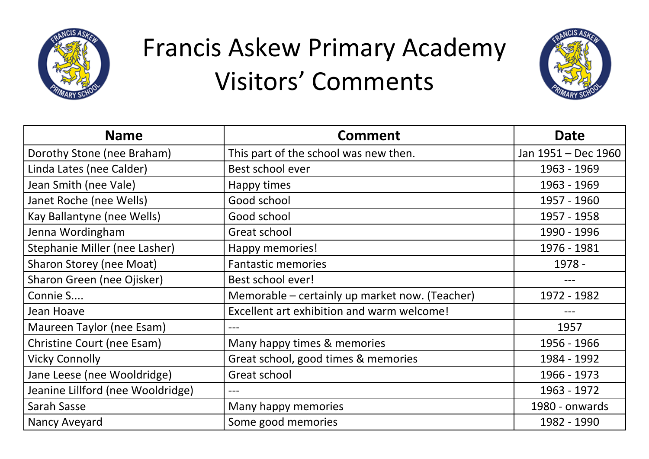



| <b>Name</b>                       | <b>Comment</b>                                 | <b>Date</b>         |
|-----------------------------------|------------------------------------------------|---------------------|
| Dorothy Stone (nee Braham)        | This part of the school was new then.          | Jan 1951 - Dec 1960 |
| Linda Lates (nee Calder)          | Best school ever                               | 1963 - 1969         |
| Jean Smith (nee Vale)             | Happy times                                    | 1963 - 1969         |
| Janet Roche (nee Wells)           | Good school                                    | 1957 - 1960         |
| Kay Ballantyne (nee Wells)        | Good school                                    | 1957 - 1958         |
| Jenna Wordingham                  | Great school                                   | 1990 - 1996         |
| Stephanie Miller (nee Lasher)     | Happy memories!                                | 1976 - 1981         |
| Sharon Storey (nee Moat)          | <b>Fantastic memories</b>                      | 1978 -              |
| Sharon Green (nee Ojisker)        | Best school ever!                              | ---                 |
| Connie S                          | Memorable – certainly up market now. (Teacher) | 1972 - 1982         |
| Jean Hoave                        | Excellent art exhibition and warm welcome!     |                     |
| Maureen Taylor (nee Esam)         | ---                                            | 1957                |
| Christine Court (nee Esam)        | Many happy times & memories                    | 1956 - 1966         |
| <b>Vicky Connolly</b>             | Great school, good times & memories            | 1984 - 1992         |
| Jane Leese (nee Wooldridge)       | Great school                                   | 1966 - 1973         |
| Jeanine Lillford (nee Wooldridge) | ---                                            | 1963 - 1972         |
| Sarah Sasse                       | Many happy memories                            | 1980 - onwards      |
| Nancy Aveyard                     | Some good memories                             | 1982 - 1990         |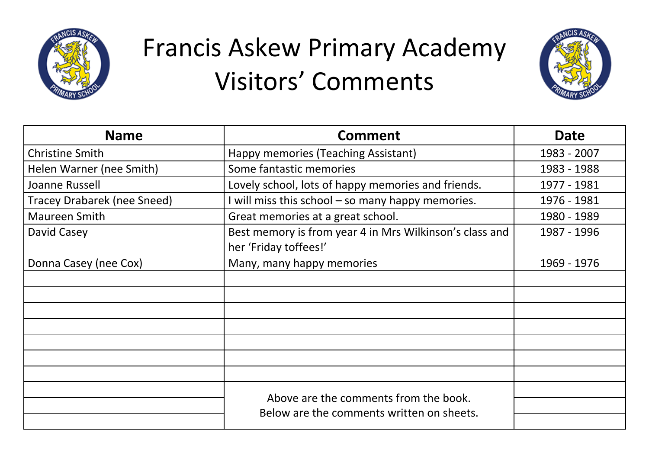



| <b>Name</b>                        | <b>Comment</b>                                                                     | Date        |
|------------------------------------|------------------------------------------------------------------------------------|-------------|
| <b>Christine Smith</b>             | Happy memories (Teaching Assistant)                                                | 1983 - 2007 |
| Helen Warner (nee Smith)           | Some fantastic memories                                                            | 1983 - 1988 |
| Joanne Russell                     | Lovely school, lots of happy memories and friends.                                 | 1977 - 1981 |
| <b>Tracey Drabarek (nee Sneed)</b> | I will miss this school – so many happy memories.                                  | 1976 - 1981 |
| Maureen Smith                      | Great memories at a great school.                                                  | 1980 - 1989 |
| David Casey                        | Best memory is from year 4 in Mrs Wilkinson's class and<br>her 'Friday toffees!'   | 1987 - 1996 |
| Donna Casey (nee Cox)              | Many, many happy memories                                                          | 1969 - 1976 |
|                                    |                                                                                    |             |
|                                    |                                                                                    |             |
|                                    |                                                                                    |             |
|                                    |                                                                                    |             |
|                                    |                                                                                    |             |
|                                    |                                                                                    |             |
|                                    |                                                                                    |             |
|                                    | Above are the comments from the book.<br>Below are the comments written on sheets. |             |
|                                    |                                                                                    |             |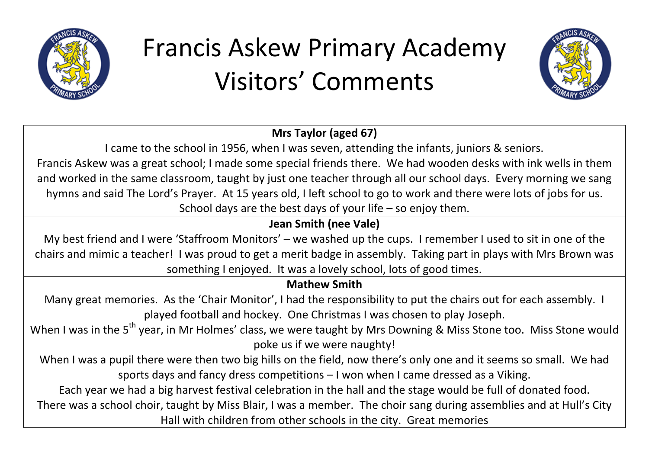



### **Mrs Taylor (aged 67)**

I came to the school in 1956, when I was seven, attending the infants, juniors & seniors. Francis Askew was a great school; I made some special friends there. We had wooden desks with ink wells in them and worked in the same classroom, taught by just one teacher through all our school days. Every morning we sang hymns and said The Lord's Prayer. At 15 years old, I left school to go to work and there were lots of jobs for us. School days are the best days of your life – so enjoy them.

## **Jean Smith (nee Vale)**

My best friend and I were 'Staffroom Monitors' – we washed up the cups. I remember I used to sit in one of the chairs and mimic a teacher! I was proud to get a merit badge in assembly. Taking part in plays with Mrs Brown was something I enjoyed. It was a lovely school, lots of good times.

### **Mathew Smith**

Many great memories. As the 'Chair Monitor', I had the responsibility to put the chairs out for each assembly. I played football and hockey. One Christmas I was chosen to play Joseph.

When I was in the 5<sup>th</sup> year, in Mr Holmes' class, we were taught by Mrs Downing & Miss Stone too. Miss Stone would poke us if we were naughty!

When I was a pupil there were then two big hills on the field, now there's only one and it seems so small. We had sports days and fancy dress competitions – I won when I came dressed as a Viking.

Each year we had a big harvest festival celebration in the hall and the stage would be full of donated food.

There was a school choir, taught by Miss Blair, I was a member. The choir sang during assemblies and at Hull's City

Hall with children from other schools in the city. Great memories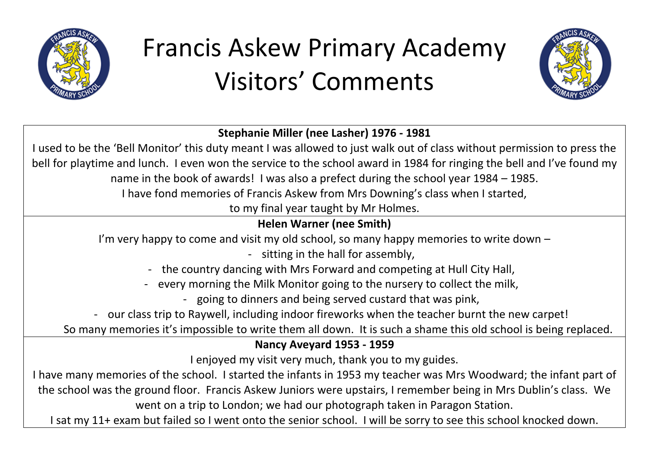



#### **Stephanie Miller (nee Lasher) 1976 - 1981**

I used to be the 'Bell Monitor' this duty meant I was allowed to just walk out of class without permission to press the bell for playtime and lunch. I even won the service to the school award in 1984 for ringing the bell and I've found my name in the book of awards! I was also a prefect during the school year 1984 – 1985.

I have fond memories of Francis Askew from Mrs Downing's class when I started,

to my final year taught by Mr Holmes.

## **Helen Warner (nee Smith)**

I'm very happy to come and visit my old school, so many happy memories to write down –

- sitting in the hall for assembly,

- the country dancing with Mrs Forward and competing at Hull City Hall,

- every morning the Milk Monitor going to the nursery to collect the milk,

- going to dinners and being served custard that was pink,

- our class trip to Raywell, including indoor fireworks when the teacher burnt the new carpet!

So many memories it's impossible to write them all down. It is such a shame this old school is being replaced.

#### **Nancy Aveyard 1953 - 1959**

I enjoyed my visit very much, thank you to my guides.

I have many memories of the school. I started the infants in 1953 my teacher was Mrs Woodward; the infant part of the school was the ground floor. Francis Askew Juniors were upstairs, I remember being in Mrs Dublin's class. We went on a trip to London; we had our photograph taken in Paragon Station.

I sat my 11+ exam but failed so I went onto the senior school. I will be sorry to see this school knocked down.